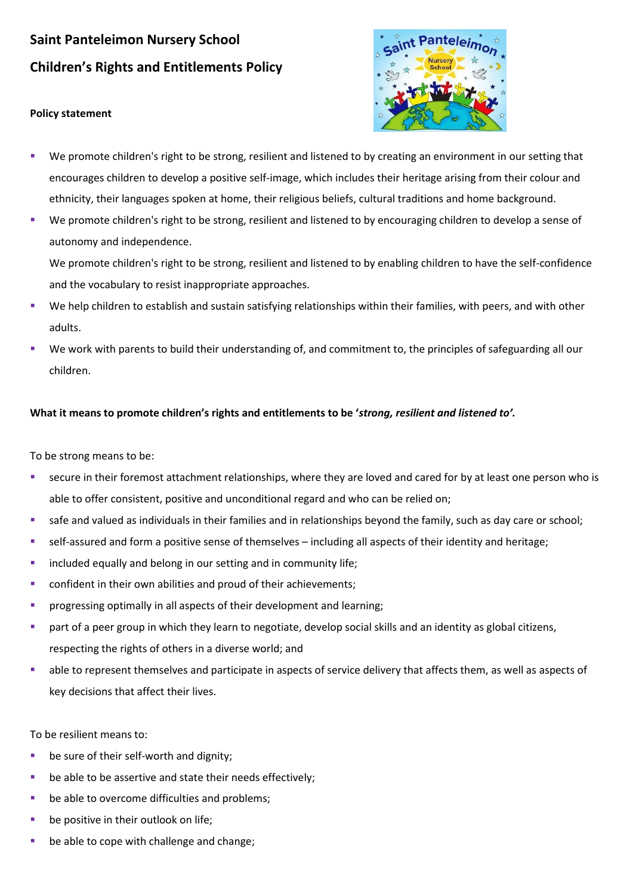## **Saint Panteleimon Nursery School Children's Rights and Entitlements Policy**

## **Policy statement**



- We promote children's right to be strong, resilient and listened to by creating an environment in our setting that encourages children to develop a positive self-image, which includes their heritage arising from their colour and ethnicity, their languages spoken at home, their religious beliefs, cultural traditions and home background.
- We promote children's right to be strong, resilient and listened to by encouraging children to develop a sense of autonomy and independence.

We promote children's right to be strong, resilient and listened to by enabling children to have the self-confidence and the vocabulary to resist inappropriate approaches.

- We help children to establish and sustain satisfying relationships within their families, with peers, and with other adults.
- We work with parents to build their understanding of, and commitment to, the principles of safeguarding all our children.

## **What it means to promote children's rights and entitlements to be '***strong, resilient and listened to'.*

To be strong means to be:

- secure in their foremost attachment relationships, where they are loved and cared for by at least one person who is able to offer consistent, positive and unconditional regard and who can be relied on;
- safe and valued as individuals in their families and in relationships beyond the family, such as day care or school;
- self-assured and form a positive sense of themselves including all aspects of their identity and heritage;
- **·** included equally and belong in our setting and in community life;
- confident in their own abilities and proud of their achievements;
- progressing optimally in all aspects of their development and learning;
- part of a peer group in which they learn to negotiate, develop social skills and an identity as global citizens, respecting the rights of others in a diverse world; and
- able to represent themselves and participate in aspects of service delivery that affects them, as well as aspects of key decisions that affect their lives.

To be resilient means to:

- be sure of their self-worth and dignity;
- be able to be assertive and state their needs effectively;
- be able to overcome difficulties and problems;
- be positive in their outlook on life;
- be able to cope with challenge and change;